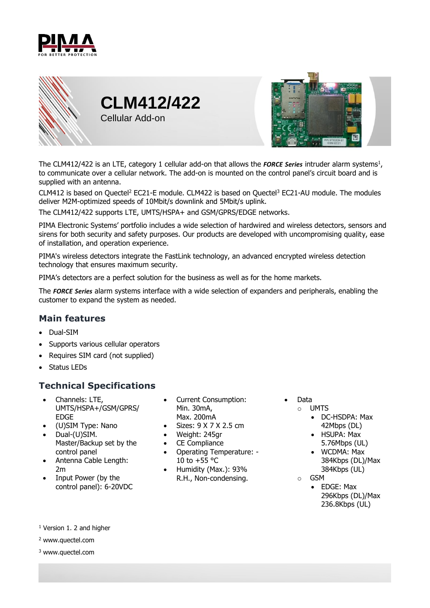





The CLM412/422 is an LTE, category 1 cellular add-on that allows the *FORCE Series* intruder alarm systems 1 , to communicate over a cellular network. The add-on is mounted on the control panel's circuit board and is supplied with an antenna.

CLM412 is based on Quectel<sup>2</sup> EC21-E module. CLM422 is based on Quectel<sup>3</sup> EC21-AU module. The modules deliver M2M-optimized speeds of 10Mbit/s downlink and 5Mbit/s uplink.

The CLM412/422 supports LTE, UMTS/HSPA+ and GSM/GPRS/EDGE networks.

PIMA Electronic Systems' portfolio includes a wide selection of hardwired and wireless detectors, sensors and sirens for both security and safety purposes. Our products are developed with uncompromising quality, ease of installation, and operation experience.

PIMA's wireless detectors integrate the FastLink technology, an advanced encrypted wireless detection technology that ensures maximum security.

PIMA's detectors are a perfect solution for the business as well as for the home markets.

The *FORCE Series* alarm systems interface with a wide selection of expanders and peripherals, enabling the customer to expand the system as needed.

## **Main features**

- Dual-SIM
- Supports various cellular operators
- Requires SIM card (not supplied)
- Status LEDs

## **Technical Specifications**

- Channels: LTE, UMTS/HSPA+/GSM/GPRS/ EDGE
- (U)SIM Type: Nano<br>• Dual-(U)SIM.
- Dual-(U)SIM. Master/Backup set by the control panel
- Antenna Cable Length: 2m
- Input Power (by the control panel): 6-20VDC
- Current Consumption: Min. 30mA, Max. 200mA
- Sizes: 9 X 7 X 2.5 cm
- Weight: 245gr
- CE Compliance
- Operating Temperature: 10 to  $+55$  °C
- Humidity (Max.): 93% R.H., Non-condensing.
- Data
	- o UMTS
		- DC-HSDPA: Max 42Mbps (DL)
		- HSUPA: Max 5.76Mbps (UL)
		- WCDMA: Max 384Kbps (DL)/Max 384Kbps (UL)
	- o GSM
		- EDGE: Max 296Kbps (DL)/Max 236.8Kbps (UL)

<sup>1</sup> Version 1. 2 and higher

<sup>2</sup> www.quectel.com

<sup>3</sup> www.quectel.com